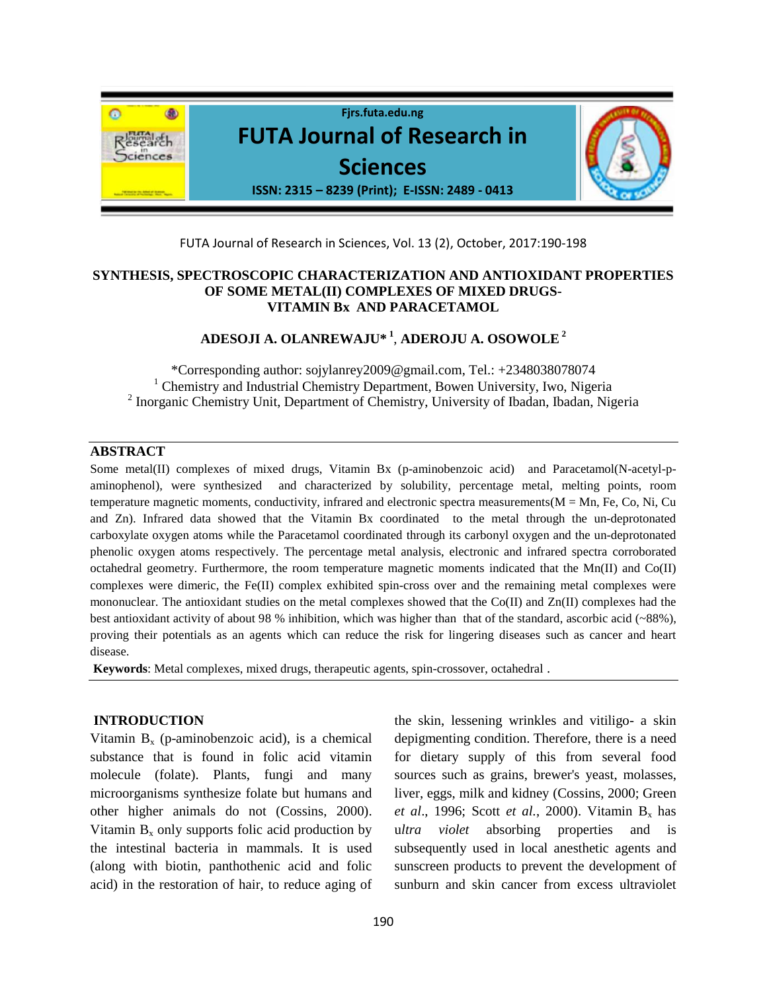

FUTA Journal of Research in Sciences, Vol. 13 (2), October, 2017:190-198

### **SYNTHESIS, SPECTROSCOPIC CHARACTERIZATION AND ANTIOXIDANT PROPERTIES OF SOME METAL(II) COMPLEXES OF MIXED DRUGS-VITAMIN Bx AND PARACETAMOL**

**ADESOJI A. OLANREWAJU\* <sup>1</sup>** , **ADEROJU A. OSOWOLE<sup>2</sup>**

\*Corresponding author: sojylanrey2009@gmail.com, Tel.: +2348038078074 <sup>1</sup> Chemistry and Industrial Chemistry Department, Bowen University, Iwo, Nigeria <sup>2</sup> Inorganic Chemistry Unit, Department of Chemistry, University of Ibadan, Ibadan, Nigeria

#### **ABSTRACT**

Some metal(II) complexes of mixed drugs, Vitamin Bx (p-aminobenzoic acid) and Paracetamol(N-acetyl-paminophenol), were synthesized and characterized by solubility, percentage metal, melting points, room temperature magnetic moments, conductivity, infrared and electronic spectra measurements( $M = Mn$ , Fe, Co, Ni, Cu and Zn). Infrared data showed that the Vitamin Bx coordinated to the metal through the un-deprotonated carboxylate oxygen atoms while the Paracetamol coordinated through its carbonyl oxygen and the un-deprotonated phenolic oxygen atoms respectively. The percentage metal analysis, electronic and infrared spectra corroborated octahedral geometry. Furthermore, the room temperature magnetic moments indicated that the Mn(II) and Co(II) complexes were dimeric, the Fe(II) complex exhibited spin-cross over and the remaining metal complexes were mononuclear. The antioxidant studies on the metal complexes showed that the Co(II) and Zn(II) complexes had the best antioxidant activity of about 98 % inhibition, which was higher than that of the standard, ascorbic acid (~88%), proving their potentials as an agents which can reduce the risk for lingering diseases such as cancer and heart disease.

**Keywords**: Metal complexes, mixed drugs, therapeutic agents, spin-crossover, octahedral .

#### **INTRODUCTION**

Vitamin  $B_x$  (p-aminobenzoic acid), is a chemical substance that is found in folic acid vitamin molecule (folate). Plants, fungi and many microorganisms synthesize folate but humans and other higher animals do not (Cossins, 2000). Vitamin  $B_x$  only supports folic acid production by the intestinal bacteria in mammals. It is used (along with biotin, panthothenic acid and folic acid) in the restoration of hair, to reduce aging of

the skin, lessening wrinkles and vitiligo- a skin depigmenting condition. Therefore, there is a need for dietary supply of this from several food sources such as grains, brewer's yeast, molasses, liver, eggs, milk and kidney (Cossins, 2000; Green *et al.*, 1996; Scott *et al.*, 2000). Vitamin B<sub>x</sub> has u*ltra violet* absorbing properties and is subsequently used in local anesthetic agents and sunscreen products to prevent the development of sunburn and skin cancer from excess ultraviolet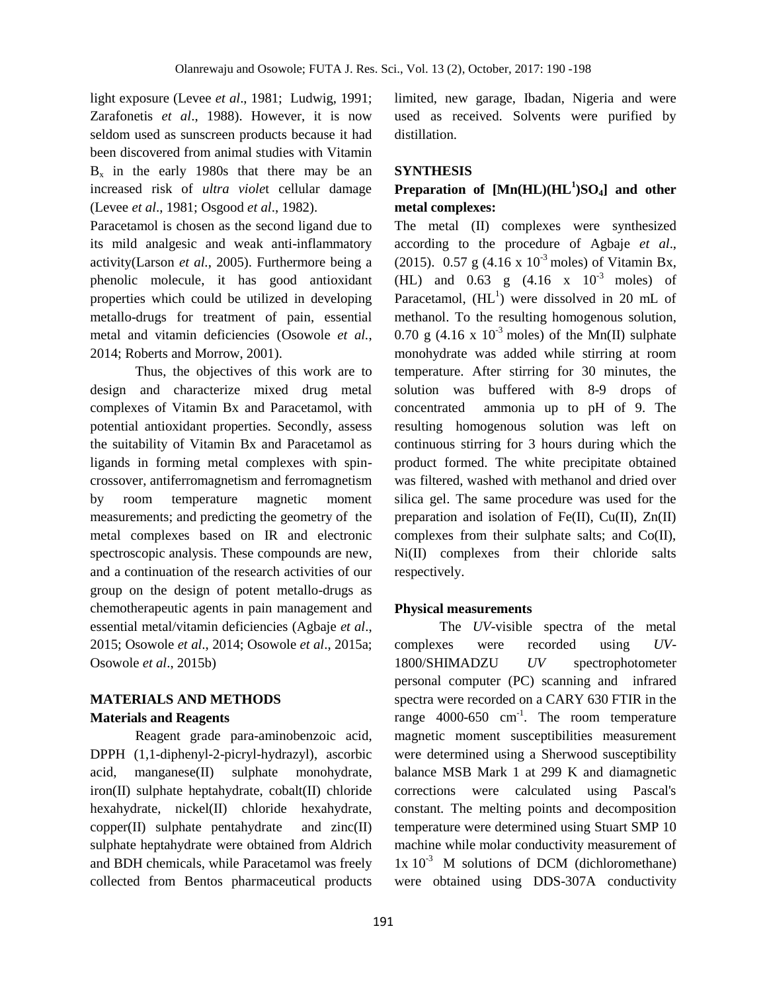light exposure (Levee *et al*., 1981; Ludwig, 1991; Zarafonetis *et al*., 1988). However, it is now seldom used as sunscreen products because it had been discovered from animal studies with Vitamin  $B_x$  in the early 1980s that there may be an increased risk of *ultra viole*t cellular damage (Levee *et al*., 1981; Osgood *et al*., 1982).

Paracetamol is chosen as the second ligand due to its mild analgesic and weak anti-inflammatory activity(Larson *et al.*, 2005). Furthermore being a phenolic molecule, it has good antioxidant properties which could be utilized in developing metallo-drugs for treatment of pain, essential metal and vitamin deficiencies (Osowole *et al.*, 2014; Roberts and Morrow, 2001).

Thus, the objectives of this work are to design and characterize mixed drug metal complexes of Vitamin Bx and Paracetamol, with potential antioxidant properties. Secondly, assess the suitability of Vitamin Bx and Paracetamol as ligands in forming metal complexes with spincrossover, antiferromagnetism and ferromagnetism by room temperature magnetic moment measurements; and predicting the geometry of the metal complexes based on IR and electronic spectroscopic analysis. These compounds are new, and a continuation of the research activities of our group on the design of potent metallo-drugs as chemotherapeutic agents in pain management and essential metal/vitamin deficiencies (Agbaje *et al*., 2015; Osowole *et al*., 2014; Osowole *et al*., 2015a; Osowole *et al*., 2015b)

# **MATERIALS AND METHODS Materials and Reagents**

Reagent grade para-aminobenzoic acid, DPPH (1,1-diphenyl-2-picryl-hydrazyl), ascorbic acid, manganese(II) sulphate monohydrate, iron(II) sulphate heptahydrate, cobalt(II) chloride hexahydrate, nickel(II) chloride hexahydrate,  $copper(II)$  sulphate pentahydrate and  $zinc(II)$ sulphate heptahydrate were obtained from Aldrich and BDH chemicals, while Paracetamol was freely collected from Bentos pharmaceutical products

limited, new garage, Ibadan, Nigeria and were used as received. Solvents were purified by distillation.

### **SYNTHESIS**

# **Preparation of [Mn(HL)(HL<sup>1</sup> )SO4] and other metal complexes:**

The metal (II) complexes were synthesized according to the procedure of Agbaje *et al*., (2015). 0.57 g  $(4.16 \times 10^{-3} \text{ moles})$  of Vitamin Bx, (HL) and  $0.63$  g  $(4.16 \times 10^{-3} \text{ moles})$  of Paracetamol,  $(HL<sup>1</sup>)$  were dissolved in 20 mL of methanol. To the resulting homogenous solution, 0.70 g (4.16 x  $10^{-3}$  moles) of the Mn(II) sulphate monohydrate was added while stirring at room temperature. After stirring for 30 minutes, the solution was buffered with 8-9 drops of concentrated ammonia up to pH of 9. The resulting homogenous solution was left on continuous stirring for 3 hours during which the product formed. The white precipitate obtained was filtered, washed with methanol and dried over silica gel. The same procedure was used for the preparation and isolation of Fe(II), Cu(II), Zn(II) complexes from their sulphate salts; and Co(II), Ni(II) complexes from their chloride salts respectively.

### **Physical measurements**

The *UV*-visible spectra of the metal complexes were recorded using *UV*-1800/SHIMADZU *UV* spectrophotometer personal computer (PC) scanning and infrared spectra were recorded on a CARY 630 FTIR in the range  $4000-650$  cm<sup>-1</sup>. The room temperature magnetic moment susceptibilities measurement were determined using a Sherwood susceptibility balance MSB Mark 1 at 299 K and diamagnetic corrections were calculated using Pascal's constant. The melting points and decomposition temperature were determined using Stuart SMP 10 machine while molar conductivity measurement of  $1x 10^{-3}$  M solutions of DCM (dichloromethane) were obtained using DDS-307A conductivity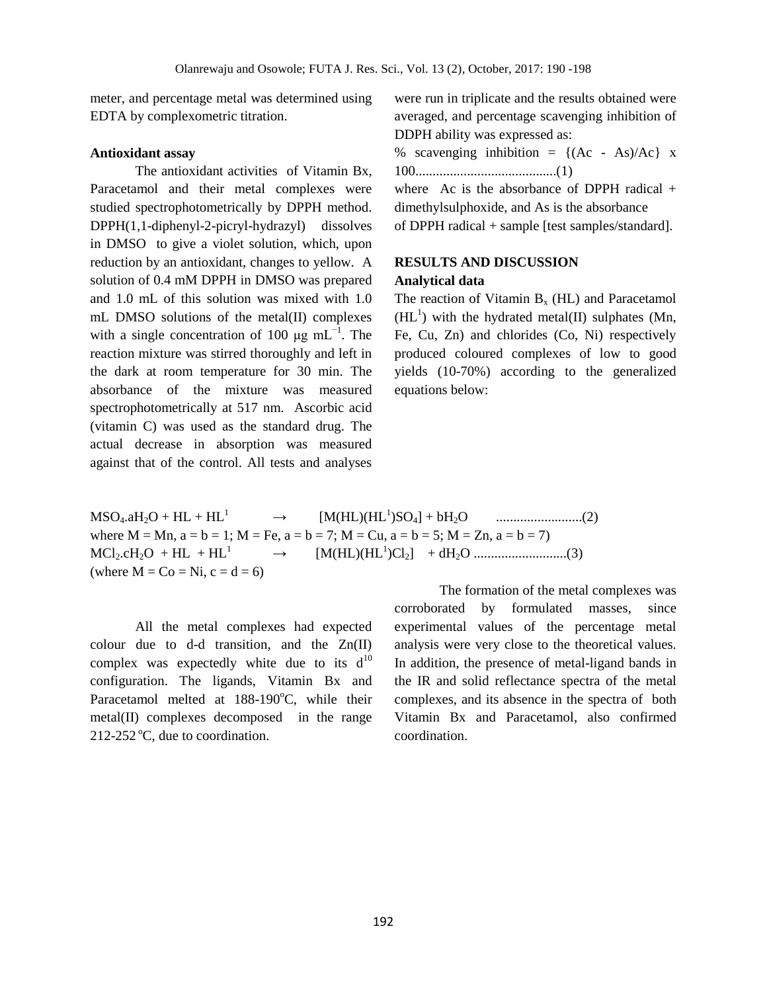meter, and percentage metal was determined using EDTA by complexometric titration.

### **Antioxidant assay**

The antioxidant activities of Vitamin Bx, Paracetamol and their metal complexes were studied spectrophotometrically by DPPH method. DPPH(1,1-diphenyl-2-picryl-hydrazyl) dissolves in DMSO to give a violet solution, which, upon reduction by an antioxidant, changes to yellow. A solution of 0.4 mM DPPH in DMSO was prepared and 1.0 mL of this solution was mixed with 1.0 mL DMSO solutions of the metal(II) complexes with a single concentration of 100  $\mu$ g mL<sup>-1</sup>. The reaction mixture was stirred thoroughly and left in the dark at room temperature for 30 min. The absorbance of the mixture was measured spectrophotometrically at 517 nm. Ascorbic acid (vitamin C) was used as the standard drug. The actual decrease in absorption was measured against that of the control. All tests and analyses

were run in triplicate and the results obtained were averaged, and percentage scavenging inhibition of DDPH ability was expressed as:

% scavenging inhibition =  $\{(Ac - As)/Ac\}$  x 100.........................................(1)

where Ac is the absorbance of DPPH radical  $+$ dimethylsulphoxide, and As is the absorbance of DPPH radical + sample [test samples/standard].

# **RESULTS AND DISCUSSION**

#### **Analytical data**

The reaction of Vitamin  $B_x$  (HL) and Paracetamol  $(HL<sup>1</sup>)$  with the hydrated metal(II) sulphates (Mn, Fe, Cu, Zn) and chlorides (Co, Ni) respectively produced coloured complexes of low to good yields (10-70%) according to the generalized equations below:

 $MSO_4.aH_2O + HL + HL<sup>1</sup> \rightarrow$ )SO4] + bH2O .........................(2) where  $M = Mn$ ,  $a = b = 1$ ;  $M = Fe$ ,  $a = b = 7$ ;  $M = Cu$ ,  $a = b = 5$ ;  $M = Zn$ ,  $a = b = 7$ )  $MCl_2.cH_2O + HL + HL<sup>1</sup> \rightarrow$ )Cl2] + dH2O ...........................(3) (where  $M = Co = Ni$ ,  $c = d = 6$ )

All the metal complexes had expected colour due to d-d transition, and the Zn(II) complex was expectedly white due to its  $d^{10}$ configuration. The ligands, Vitamin Bx and Paracetamol melted at  $188-190^{\circ}$ C, while their metal(II) complexes decomposed in the range  $212-252$  °C, due to coordination.

The formation of the metal complexes was corroborated by formulated masses, since experimental values of the percentage metal analysis were very close to the theoretical values. In addition, the presence of metal-ligand bands in the IR and solid reflectance spectra of the metal complexes, and its absence in the spectra of both Vitamin Bx and Paracetamol, also confirmed coordination.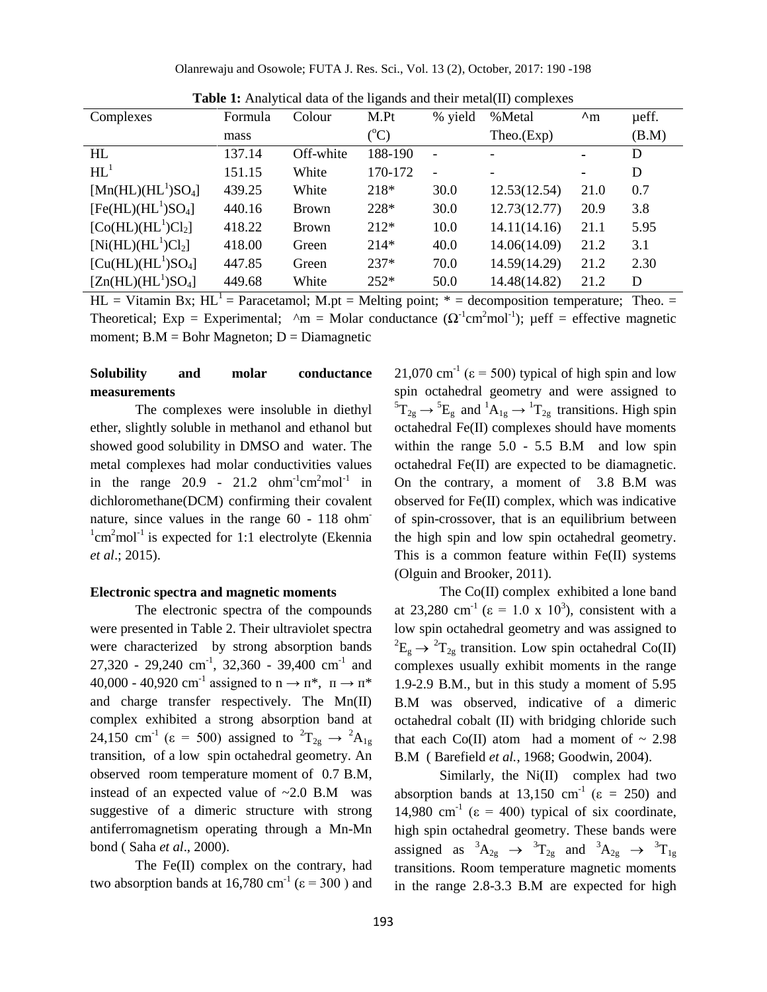Olanrewaju and Osowole; FUTA J. Res. Sci., Vol. 13 (2), October, 2017: 190 -198

| Complexes            | Formula | Colour    | ັ<br>M.Pt       | % yield                  | %Metal       | $\mathbf{A}_{\mathbf{m}}$ | ueff. |
|----------------------|---------|-----------|-----------------|--------------------------|--------------|---------------------------|-------|
|                      | mass    |           | $({}^{\circ}C)$ |                          | Theo.(Exp)   |                           | (B.M) |
| HL                   | 137.14  | Off-white | 188-190         | $\overline{\phantom{a}}$ |              | ۰                         | D     |
| $HL^1$               | 151.15  | White     | 170-172         |                          |              | ۰.                        | D     |
| $[Mn(HL)(HL1)SO4]$   | 439.25  | White     | 218*            | 30.0                     | 12.53(12.54) | 21.0                      | 0.7   |
| $[Fe(HL)(HL1)SO4]$   | 440.16  | Brown     | 228*            | 30.0                     | 12.73(12.77) | 20.9                      | 3.8   |
| $[Co(HL)(HL^1)Cl_2]$ | 418.22  | Brown     | $212*$          | 10.0                     | 14.11(14.16) | 21.1                      | 5.95  |
| $[Ni(HL)(HL^1)Cl_2]$ | 418.00  | Green     | $214*$          | 40.0                     | 14.06(14.09) | 21.2                      | 3.1   |
| $[Cu(HL)(HL1)SO4]$   | 447.85  | Green     | $237*$          | 70.0                     | 14.59(14.29) | 21.2                      | 2.30  |
| $[Zn(HL)(HL1)SO4]$   | 449.68  | White     | $252*$          | 50.0                     | 14.48(14.82) | 21.2                      | D     |

**Table 1:** Analytical data of the ligands and their metal(II) complexes

 $HL = Vitamin Bx$ ;  $HL^1 = Paracetamol$ ;  $M(pt = Melting point; * = decomposition temperature; Theo. =$ Theoretical; Exp = Experimental;  $\Delta m =$  Molar conductance ( $\Omega^{-1}$ cm<sup>2</sup>mol<sup>-1</sup>);  $\mu$ eff = effective magnetic moment;  $B.M = Bohr$  Magneton;  $D = Diamagnetic$ 

# **Solubility and molar conductance measurements**

The complexes were insoluble in diethyl ether, slightly soluble in methanol and ethanol but showed good solubility in DMSO and water. The metal complexes had molar conductivities values in the range 20.9 - 21.2  $ohm^{-1}cm^2mol^{-1}$  in dichloromethane(DCM) confirming their covalent nature, since values in the range 60 - 118 ohm  $\rm{1cm}^2$ mol<sup>-1</sup> is expected for 1:1 electrolyte (Ekennia *et al*.; 2015).

#### **Electronic spectra and magnetic moments**

The electronic spectra of the compounds were presented in Table 2. Their ultraviolet spectra were characterized by strong absorption bands  $27,320 - 29,240$  cm<sup>-1</sup>,  $32,360 - 39,400$  cm<sup>-1</sup> and 40,000 - 40,920 cm<sup>-1</sup> assigned to  $n \rightarrow \pi^*$ ,  $\pi \rightarrow \pi^*$ and charge transfer respectively. The Mn(II) complex exhibited a strong absorption band at 24,150 cm<sup>-1</sup> ( $\varepsilon$  = 500) assigned to <sup>2</sup>T<sub>2g</sub>  $\rightarrow$  <sup>2</sup>A<sub>1g</sub> transition, of a low spin octahedral geometry. An observed room temperature moment of 0.7 B.M, instead of an expected value of ~2.0 B.M was suggestive of a dimeric structure with strong antiferromagnetism operating through a Mn-Mn bond ( Saha *et al*., 2000).

The Fe(II) complex on the contrary, had two absorption bands at 16,780 cm<sup>-1</sup> ( $\varepsilon$  = 300) and

21,070 cm<sup>-1</sup> ( $\varepsilon$  = 500) typical of high spin and low spin octahedral geometry and were assigned to  ${}^{5}T_{2g} \rightarrow {}^{5}E_{g}$  and  ${}^{1}A_{1g} \rightarrow {}^{1}T_{2g}$  transitions. High spin octahedral Fe(II) complexes should have moments within the range 5.0 - 5.5 B.M and low spin octahedral Fe(II) are expected to be diamagnetic. On the contrary, a moment of 3.8 B.M was observed for Fe(II) complex, which was indicative of spin-crossover, that is an equilibrium between the high spin and low spin octahedral geometry. This is a common feature within Fe(II) systems (Olguin and Brooker, 2011).

The Co(II) complex exhibited a lone band at 23,280 cm<sup>-1</sup> ( $\varepsilon$  = 1.0 x 10<sup>3</sup>), consistent with a low spin octahedral geometry and was assigned to  ${}^{2}E_{g} \rightarrow {}^{2}T_{2g}$  transition. Low spin octahedral Co(II) complexes usually exhibit moments in the range 1.9-2.9 B.M., but in this study a moment of 5.95 B.M was observed, indicative of a dimeric octahedral cobalt (II) with bridging chloride such that each Co(II) atom had a moment of  $\sim 2.98$ B.M ( Barefield *et al.*, 1968; Goodwin, 2004).

Similarly, the Ni(II) complex had two absorption bands at 13,150 cm<sup>-1</sup> ( $\varepsilon$  = 250) and 14,980 cm<sup>-1</sup> ( $\varepsilon$  = 400) typical of six coordinate, high spin octahedral geometry. These bands were assigned as  ${}^3A_{2g} \rightarrow {}^3T_{2g}$  and  ${}^3A_{2g} \rightarrow {}^3T_{1g}$ transitions. Room temperature magnetic moments in the range 2.8-3.3 B.M are expected for high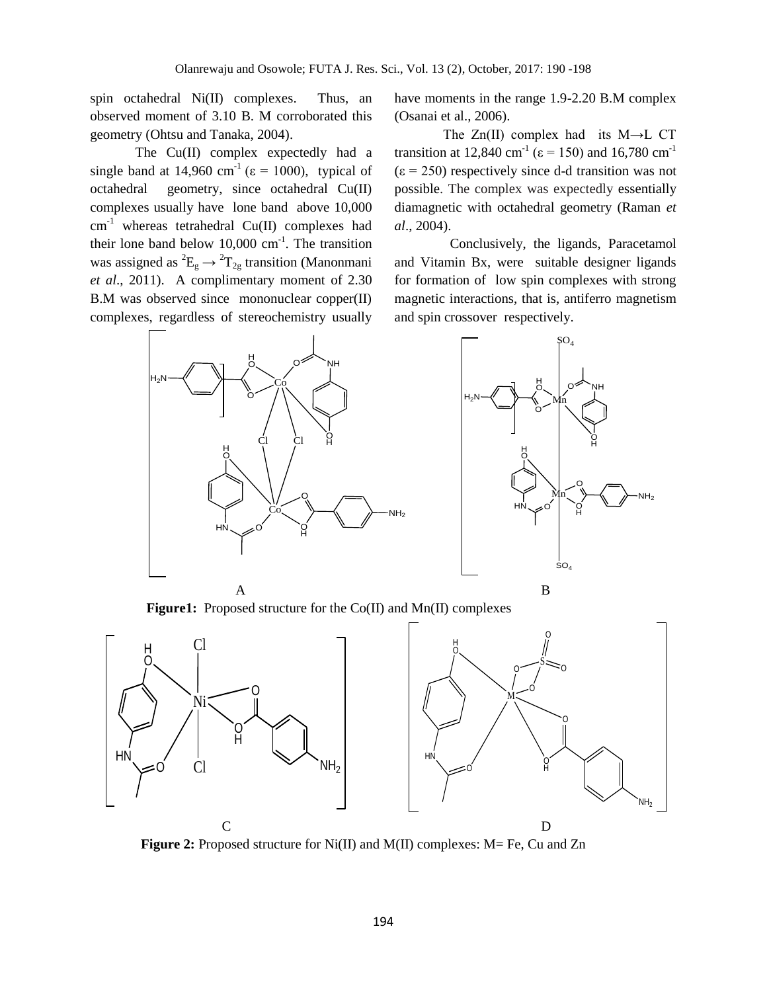spin octahedral Ni(II) complexes. Thus, an observed moment of 3.10 B. M corroborated this geometry (Ohtsu and Tanaka, 2004).

The Cu(II) complex expectedly had a single band at 14,960 cm<sup>-1</sup> ( $\varepsilon$  = 1000), typical of octahedral geometry, since octahedral Cu(II) complexes usually have lone band above 10,000  $cm^{-1}$  whereas tetrahedral Cu(II) complexes had their lone band below  $10,000 \text{ cm}^{-1}$ . The transition was assigned as  ${}^{2}E_{g} \rightarrow {}^{2}T_{2g}$  transition (Manonmani *et al*., 2011). A complimentary moment of 2.30 B.M was observed since mononuclear copper(II) complexes, regardless of stereochemistry usually

have moments in the range 1.9-2.20 B.M complex (Osanai et al., 2006).

The  $Zn(II)$  complex had its M $\rightarrow$ L CT transition at 12,840 cm<sup>-1</sup> ( $\varepsilon$  = 150) and 16,780 cm<sup>-1</sup>  $(\epsilon = 250)$  respectively since d-d transition was not possible. The complex was expectedly essentially diamagnetic with octahedral geometry (Raman *et al*., 2004).

 Conclusively, the ligands, Paracetamol and Vitamin Bx, were suitable designer ligands for formation of low spin complexes with strong magnetic interactions, that is, antiferro magnetism and spin crossover respectively.





**Figure1:** Proposed structure for the Co(II) and Mn(II) complexes



**Figure 2:** Proposed structure for Ni(II) and M(II) complexes: M= Fe, Cu and Zn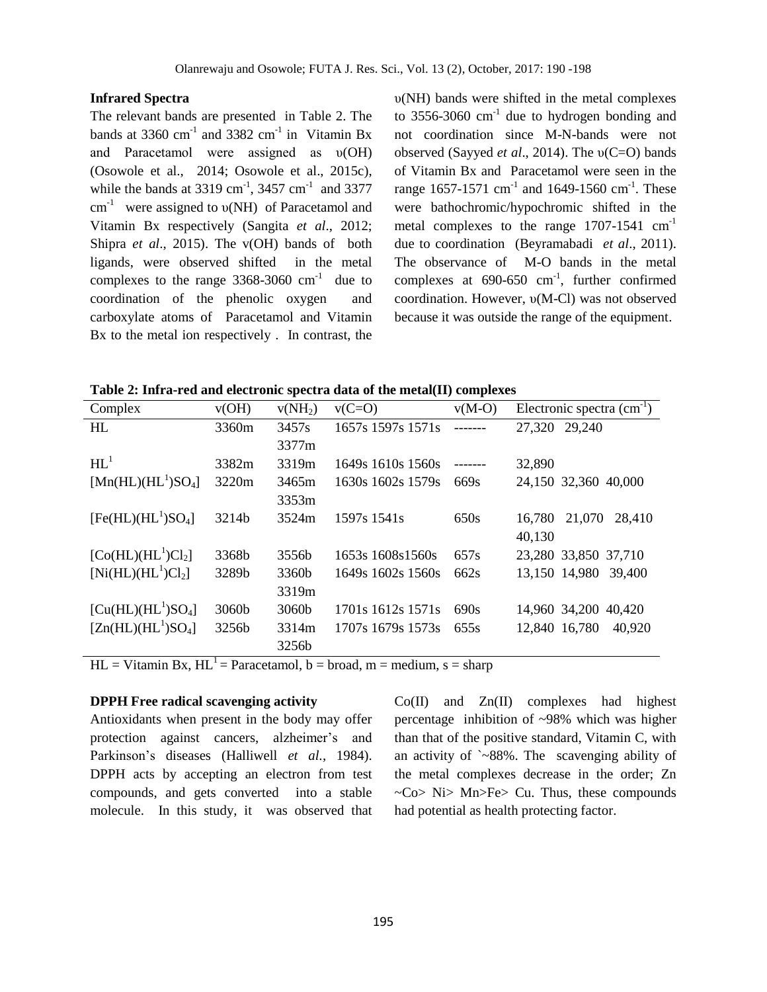#### **Infrared Spectra**

The relevant bands are presented in Table 2. The bands at 3360  $\text{cm}^{-1}$  and 3382  $\text{cm}^{-1}$  in Vitamin Bx and Paracetamol were assigned as υ(OH) (Osowole et al., 2014; Osowole et al., 2015c), while the bands at 3319 cm<sup>-1</sup>, 3457 cm<sup>-1</sup> and 3377 cm<sup>-1</sup> were assigned to  $v(NH)$  of Paracetamol and Vitamin Bx respectively (Sangita *et al*., 2012; Shipra *et al*., 2015). The v(OH) bands of both ligands, were observed shifted in the metal complexes to the range  $3368-3060$  cm<sup>-1</sup> due to coordination of the phenolic oxygen and carboxylate atoms of Paracetamol and Vitamin Bx to the metal ion respectively . In contrast, the υ(NH) bands were shifted in the metal complexes to  $3556 - 3060$  cm<sup>-1</sup> due to hydrogen bonding and not coordination since M-N-bands were not observed (Sayyed *et al*., 2014). The υ(C=O) bands of Vitamin Bx and Paracetamol were seen in the range 1657-1571 cm<sup>-1</sup> and 1649-1560 cm<sup>-1</sup>. These were bathochromic/hypochromic shifted in the metal complexes to the range  $1707-1541$  cm<sup>-1</sup> due to coordination (Beyramabadi *et al*., 2011). The observance of M-O bands in the metal complexes at  $690-650$  cm<sup>-1</sup>, further confirmed coordination. However, υ(M-Cl) was not observed because it was outside the range of the equipment.

**Table 2: Infra-red and electronic spectra data of the metal(II) complexes**

| Complex              | v(OH) | $v(NH_2)$         | $v(C=O)$          | $v(M-O)$ | Electronic spectra $(cm-1)$ |
|----------------------|-------|-------------------|-------------------|----------|-----------------------------|
| HL                   | 3360m | 3457s             | 1657s 1597s 1571s | -------  | 27,320<br>29,240            |
|                      |       | 3377m             |                   |          |                             |
| $HL^1$               | 3382m | 3319m             | 1649s 1610s 1560s | -------  | 32,890                      |
| $[Mn(HL)(HL1)SO4]$   | 3220m | 3465m             | 1630s 1602s 1579s | 669s     | 24,150 32,360 40,000        |
|                      |       | 3353m             |                   |          |                             |
| $[Fe(HL)(HL1)SO4]$   | 3214b | 3524m             | 1597s 1541s       | 650s     | 21,070<br>16,780<br>28,410  |
|                      |       |                   |                   |          | 40,130                      |
| $[Co(HL)(HL^1)Cl_2]$ | 3368b | 3556 <sub>b</sub> | 1653s 1608s 1560s | 657s     | 23,280 33,850 37,710        |
| $[Ni(HL)(HL^1)Cl_2]$ | 3289b | 3360b             | 1649s 1602s 1560s | 662s     | 13,150 14,980<br>39,400     |
|                      |       | 3319m             |                   |          |                             |
| $[Cu(HL)(HL1)SO4]$   | 3060b | 3060b             | 1701s 1612s 1571s | 690s     | 14,960 34,200<br>40,420     |
| $[Zn(HL)(HL1)SO4]$   | 3256b | 3314m             | 1707s 1679s 1573s | 655s     | 12,840 16,780<br>40,920     |
|                      |       | 3256b             |                   |          |                             |

 $HL = Vitamin Bx$ ,  $HL^{-1} = Paracetamol$ ,  $b = broad$ ,  $m = medium$ ,  $s = sharp$ 

#### **DPPH Free radical scavenging activity**

Antioxidants when present in the body may offer protection against cancers, alzheimer's and Parkinson's diseases (Halliwell *et al.*, 1984). DPPH acts by accepting an electron from test compounds, and gets converted into a stable molecule. In this study, it was observed that Co(II) and Zn(II) complexes had highest percentage inhibition of ~98% which was higher than that of the positive standard, Vitamin C, with an activity of `~88%. The scavenging ability of the metal complexes decrease in the order; Zn  $\sim$ Co> Ni> Mn>Fe> Cu. Thus, these compounds had potential as health protecting factor.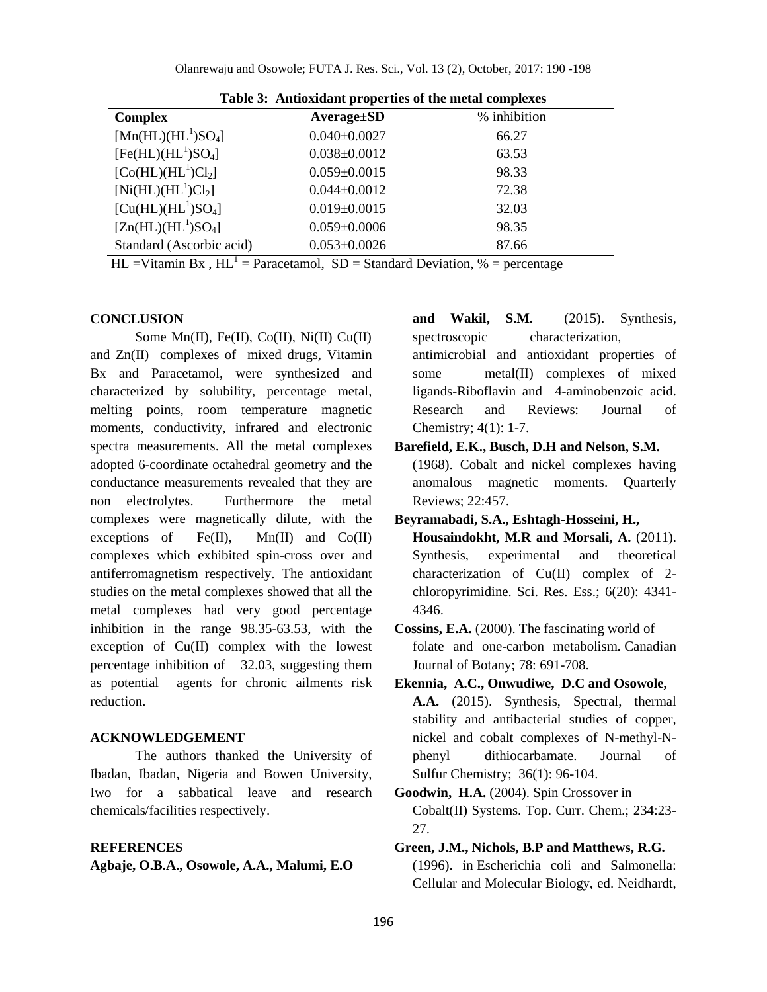| <b>Complex</b>                                     | $Average \pm SD$   | % inhibition |  |  |  |  |  |  |
|----------------------------------------------------|--------------------|--------------|--|--|--|--|--|--|
| $\overline{\text{[Mn(HL)(HL]} }$ SO <sub>4</sub> ] | $0.040 \pm 0.0027$ | 66.27        |  |  |  |  |  |  |
| $[Fe(HL)(HL1)SO4]$                                 | $0.038 \pm 0.0012$ | 63.53        |  |  |  |  |  |  |
| $[Co(HL)(HL^1)Cl_2]$                               | $0.059 \pm 0.0015$ | 98.33        |  |  |  |  |  |  |
| $[Ni(HL)(HL^1)Cl_2]$                               | $0.044 \pm 0.0012$ | 72.38        |  |  |  |  |  |  |
| $[Cu(HL)(HL1)SO4]$                                 | $0.019 \pm 0.0015$ | 32.03        |  |  |  |  |  |  |
| $[Zn(HL)(HL1)SO4]$                                 | $0.059 \pm 0.0006$ | 98.35        |  |  |  |  |  |  |
| Standard (Ascorbic acid)                           | $0.053 \pm 0.0026$ | 87.66        |  |  |  |  |  |  |

**Table 3: Antioxidant properties of the metal complexes**

 $HL = Vitami Bx$ ,  $HL^{-1} = Paracetamol$ ,  $SD = Standard Deviation$ , % = percentage

#### **CONCLUSION**

Some Mn(II), Fe(II), Co(II), Ni(II) Cu(II) and Zn(II) complexes of mixed drugs, Vitamin Bx and Paracetamol, were synthesized and characterized by solubility, percentage metal, melting points, room temperature magnetic moments, conductivity, infrared and electronic spectra measurements. All the metal complexes adopted 6-coordinate octahedral geometry and the conductance measurements revealed that they are non electrolytes. Furthermore the metal complexes were magnetically dilute, with the exceptions of  $Fe(II)$ ,  $Mn(II)$  and  $Co(II)$ complexes which exhibited spin-cross over and antiferromagnetism respectively. The antioxidant studies on the metal complexes showed that all the metal complexes had very good percentage inhibition in the range 98.35-63.53, with the exception of Cu(II) complex with the lowest percentage inhibition of 32.03, suggesting them as potential agents for chronic ailments risk reduction.

#### **ACKNOWLEDGEMENT**

The authors thanked the University of Ibadan, Ibadan, Nigeria and Bowen University, Iwo for a sabbatical leave and research chemicals/facilities respectively.

## **REFERENCES**

**Agbaje, O.B.A., Osowole, A.A., Malumi, E.O**

**and Wakil, S.M.** (2015). Synthesis, spectroscopic characterization,

antimicrobial and antioxidant properties of some metal(II) complexes of mixed ligands-Riboflavin and 4-aminobenzoic acid. Research and Reviews: Journal of Chemistry; 4(1): 1-7.

#### **Barefield, E.K., Busch, D.H and Nelson, S.M.** (1968). Cobalt and nickel complexes having

anomalous magnetic moments. Quarterly Reviews; 22:457.

- **Beyramabadi, S.A., Eshtagh-Hosseini, H., Housaindokht, M.R and Morsali, A.** (2011). Synthesis, experimental and theoretical characterization of Cu(II) complex of 2 chloropyrimidine. Sci. Res. Ess.; 6(20): 4341- 4346.
- **Cossins, E.A.** (2000). The fascinating world of folate and one-carbon metabolism. Canadian Journal of Botany; 78: 691-708.
- **Ekennia, A.C., Onwudiwe, D.C and Osowole, A.A.** (2015). Synthesis, Spectral, thermal stability and antibacterial studies of copper, nickel and cobalt complexes of N-methyl-Nphenyl dithiocarbamate. Journal of Sulfur Chemistry; 36(1): 96-104.
- **Goodwin, H.A.** (2004). Spin Crossover in Cobalt(II) Systems. Top. Curr. Chem.; 234:23- 27.
- **Green, J.M., Nichols, B.P and Matthews, R.G.** (1996). in Escherichia coli and Salmonella: Cellular and Molecular Biology, ed. Neidhardt,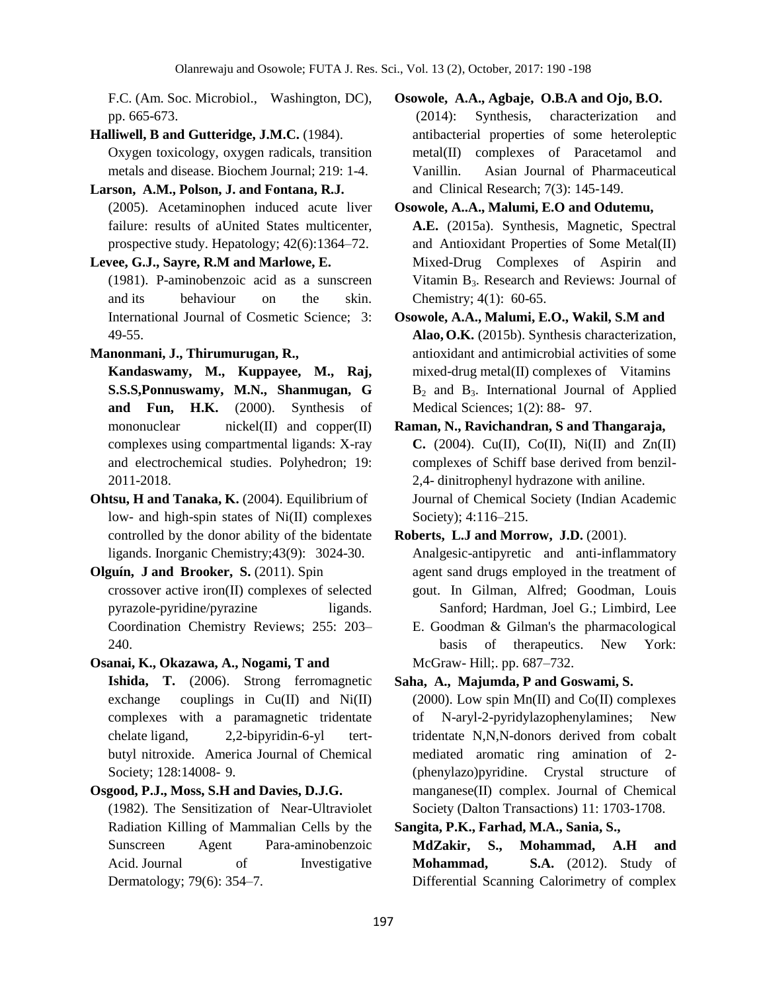F.C. (Am. Soc. Microbiol., Washington, DC), pp. 665-673.

**Halliwell, B and Gutteridge, J.M.C.** (1984).

Oxygen toxicology, oxygen radicals, transition metals and disease. Biochem Journal; 219: 1-4.

**Larson, A.M., Polson, J. and Fontana, R.J.**

(2005). Acetaminophen induced acute liver failure: results of aUnited States multicenter, prospective study. Hepatology; 42(6):1364–72.

#### **Levee, G.J., Sayre, R.M and Marlowe, E.**

(1981). P-aminobenzoic acid as a sunscreen and its behaviour on the skin. International Journal of Cosmetic Science; 3: 49-55.

**Manonmani, J., Thirumurugan, R.,**

**Kandaswamy, M., Kuppayee, M., Raj, S.S.S,Ponnuswamy, M.N., Shanmugan, G and Fun, H.K.** (2000). Synthesis of mononuclear nickel(II) and copper(II) complexes using compartmental ligands: X-ray and electrochemical studies. Polyhedron; 19: 2011-2018.

**Ohtsu, H and Tanaka, K.** (2004). Equilibrium of low- and high-spin states of Ni(II) complexes controlled by the donor ability of the bidentate ligands. Inorganic Chemistry;43(9): 3024-30.

**Olguín, J and Brooker, S.** (2011). Spin crossover active iron(II) complexes of selected pyrazole-pyridine/pyrazine ligands. Coordination Chemistry Reviews; 255: 203– 240.

# **Osanai, K., Okazawa, A., Nogami, T and**

**Ishida, T.** (2006). Strong ferromagnetic exchange couplings in Cu(II) and Ni(II) complexes with a paramagnetic tridentate chelate ligand, 2,2-bipyridin-6-yl tertbutyl nitroxide. America Journal of Chemical Society; 128:14008- 9.

#### **Osgood, P.J., Moss, S.H and Davies, D.J.G.**

(1982). The Sensitization of Near-Ultraviolet Radiation Killing of Mammalian Cells by the Sunscreen Agent Para-aminobenzoic Acid. Journal of Investigative Dermatology; 79(6): 354–7.

**Osowole, A.A., Agbaje, O.B.A and Ojo, B.O.** (2014): Synthesis, characterization and antibacterial properties of some heteroleptic metal(II) complexes of Paracetamol and Vanillin. Asian Journal of Pharmaceutical and Clinical Research; 7(3): 145-149.

# **Osowole, A..A., Malumi, E.O and Odutemu, A.E.** (2015a). Synthesis, Magnetic, Spectral and Antioxidant Properties of Some Metal(II) Mixed-Drug Complexes of Aspirin and Vitamin  $B_3$ . Research and Reviews: Journal of Chemistry; 4(1): 60-65.

**Osowole, A.A., Malumi, E.O., Wakil, S.M and Alao, O.K.** (2015b). Synthesis characterization, antioxidant and antimicrobial activities of some mixed-drug metal(II) complexes of Vitamins  $B_2$  and  $B_3$ . International Journal of Applied Medical Sciences; 1(2): 88- 97.

**Raman, N., Ravichandran, S and Thangaraja, C.** (2004). Cu(II), Co(II), Ni(II) and Zn(II) complexes of Schiff base derived from benzil-2,4- dinitrophenyl hydrazone with aniline. Journal of Chemical Society (Indian Academic Society); 4:116–215.

#### **Roberts, L.J and Morrow, J.D.** (2001).

Analgesic-antipyretic and anti-inflammatory agent sand drugs employed in the treatment of gout. In Gilman, Alfred; Goodman, Louis Sanford; Hardman, Joel G.; Limbird, Lee

E. Goodman & Gilman's the pharmacological basis of therapeutics. New York: McGraw- Hill;. pp. 687–732.

## **Saha, A., Majumda, P and Goswami, S.**

(2000). Low spin  $Mn(II)$  and  $Co(II)$  complexes of N-aryl-2-pyridylazophenylamines; New tridentate N,N,N-donors derived from cobalt mediated aromatic ring amination of 2- (phenylazo)pyridine. Crystal structure of manganese(II) complex. Journal of Chemical Society (Dalton Transactions) 11: 1703-1708.

## **Sangita, P.K., Farhad, M.A., Sania, S.,**

**MdZakir, S., Mohammad, A.H and Mohammad, S.A.** (2012). Study of Differential Scanning Calorimetry of complex